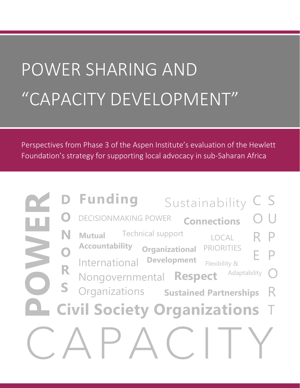# POWER SHARING AND "CAPACITY DEVELOPMENT"

Perspectives from Phase 3 of the Aspen Institute's evaluation of the Hewlett Foundation's strategy for supporting local advocacy in sub-Saharan Africa

|              | <b>D</b> Funding<br>Sustainability                                                                                        | $\mathsf{S}$ |
|--------------|---------------------------------------------------------------------------------------------------------------------------|--------------|
|              | <b>DECISIONMAKING POWER</b><br><b>Connections</b>                                                                         |              |
|              | <b>Technical support</b><br><b>Mutual</b><br>LOCAL<br><b>Accountability</b><br><b>PRIORITIES</b><br><b>Organizational</b> |              |
| $\mathbf{O}$ | <b>Development</b><br>International<br>Flexibility &<br>Adaptability                                                      |              |
|              | Nongovernmental Respect<br>Organizations Sustained Partnerships                                                           |              |
|              | <b>Civil Society Organizations T</b>                                                                                      |              |
|              |                                                                                                                           |              |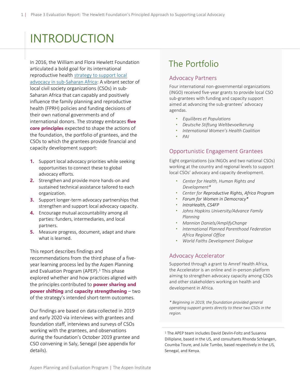# INTRODUCTION

In 2016, the William and Flora Hewlett Foundation articulated a bold goal for its international reproductive health [strategy to support local](https://hewlett.org/wp-content/uploads/2016/11/Supporting-Local-Advocacy-in-Sub-Saharan-Africa.pdf)  [advocacy in sub-Saharan Africa:](https://hewlett.org/wp-content/uploads/2016/11/Supporting-Local-Advocacy-in-Sub-Saharan-Africa.pdf) A vibrant sector of local civil society organizations (CSOs) in sub-Saharan Africa that can capably and positively influence the family planning and reproductive health (FPRH) policies and funding decisions of their own national governments and of international donors. The strategy embraces **five core principles** expected to shape the actions of the foundation, the portfolio of grantees, and the CSOs to which the grantees provide financial and capacity development support:

- **1.** Support local advocacy priorities while seeking opportunities to connect these to global advocacy efforts.
- **2.** Strengthen and provide more hands-on and sustained technical assistance tailored to each organization.
- **3.** Support longer-term advocacy partnerships that strengthen and support local advocacy capacity.
- **4.** Encourage mutual accountability among all parties: funders, intermediaries, and local partners.
- **5.** Measure progress, document, adapt and share what is learned.

This report describes findings and

recommendations from the third phase of a fiveyear learning process led by the Aspen Planning and Evaluation Program (APEP). <sup>1</sup> This phase explored whether and how practices aligned with the principles contributed to **power sharing and power shifting** and **capacity strengthening** – two of the strategy's intended short-term outcomes.

Our findings are based on data collected in 2019 and early 2020 via interviews with grantees and foundation staff, interviews and surveys of CSOs working with the grantees, and observations during the foundation's October 2019 grantee and CSO convening in Saly, Senegal (see appendix for details).

# The Portfolio

#### Advocacy Partners

Four international non-governmental organizations (INGO) received five-year grants to provide local CSO sub-grantees with funding and capacity support aimed at advancing the sub-grantees' advocacy agendas.

- *Equilibres et Populations*
- *Deutsche Stiftung Weltbevoelkerung*
- *International Women's Health Coalition*
- *PAI*

#### Opportunistic Engagement Grantees

Eight organizations (six INGOs and two national CSOs) working at the country and regional levels to support local CSOs' advocacy and capacity development.

- *Center for Health, Human Rights and Development\**
- *Center for Reproductive Rights, Africa Program*
- *Forum for Women in Democracy\**
- *IntraHealth, CS4FP*
- *Johns Hopkins University/Advance Family Planning*
- *Mannion Daniels/AmplifyChange*
- *International Planned Parenthood Federation Africa Regional Office*
- *World Faiths Development Dialogue*

#### Advocacy Accelerator

Supported through a grant to Amref Health Africa, the Accelerator is an online and in-person platform aiming to strengthen advocacy capacity among CSOs and other stakeholders working on health and development in Africa.

*\* Beginning in 2019, the foundation provided general operating support grants directly to these two CSOs in the region.*

<sup>1</sup> The APEP team includes David Devlin-Foltz and Susanna Dilliplane, based in the US, and consultants Rhonda Schlangen, Coumba Toure, and Julie Tumbo, based respectively in the US, Senegal, and Kenya.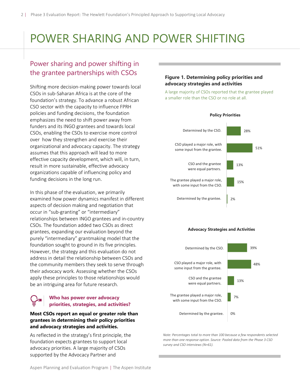# POWER SHARING AND POWER SHIFTING

# Power sharing and power shifting in the grantee partnerships with CSOs

Shifting more decision-making power towards local CSOs in sub-Saharan Africa is at the core of the foundation's strategy. To advance a robust African CSO sector with the capacity to influence FPRH policies and funding decisions, the foundation emphasizes the need to shift power away from funders and its INGO grantees and towards local CSOs, enabling the CSOs to exercise more control over how they strengthen and exercise their organizational and advocacy capacity. The strategy assumes that this approach will lead to more effective capacity development, which will, in turn, result in more sustainable, effective advocacy organizations capable of influencing policy and funding decisions in the long run.

In this phase of the evaluation, we primarily examined how power dynamics manifest in different aspects of decision making and negotiation that occur in "sub-granting" or "intermediary" relationships between INGO grantees and in-country CSOs. The foundation added two CSOs as direct grantees, expanding our evaluation beyond the purely "intermediary" grantmaking model that the foundation sought to ground in its five principles. However, the strategy and this evaluation do not address in detail the relationship between CSOs and the community members they seek to serve through their advocacy work. Assessing whether the CSOs apply these principles to those relationships would be an intriguing area for future research.

#### **Who has power over advocacy priorities, strategies, and activities?**

#### **Most CSOs report an equal or greater role than grantees in determining their policy priorities and advocacy strategies and activities.**

As reflected in the strategy's first principle, the foundation expects grantees to support local advocacy priorities. A large majority of CSOs supported by the Advocacy Partner and

#### **Figure 1. Determining policy priorities and advocacy strategies and activities**

A large majority of CSOs reported that the grantee played a smaller role than the CSO or no role at all.



#### **Advocacy Strategies and Activities**



*Note: Percentages total to more than 100 because a few respondents selected more than one response option. Source: Pooled data from the Phase 3 CSO survey and CSO interviews (N=61).*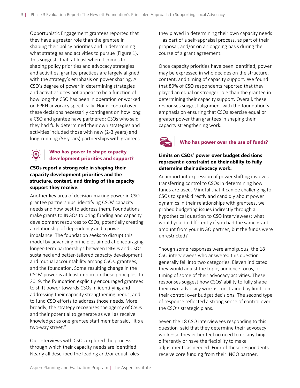Opportunistic Engagement grantees reported that they have a greater role than the grantee in shaping their policy priorities and in determining what strategies and activities to pursue (Figure 1). This suggests that, at least when it comes to shaping policy priorities and advocacy strategies and activities, grantee practices are largely aligned with the strategy's emphasis on power sharing. A CSO's degree of power in determining strategies and activities does not appear to be a function of how long the CSO has been in operation or worked on FPRH advocacy specifically. Nor is control over these decisions necessarily contingent on how long a CSO and grantee have partnered: CSOs who said they had fully determined their own strategies and activities included those with new (2-3 years) and long-running (5+ years) partnerships with grantees.

#### **Who has power to shape capacity development priorities and support?**

#### **CSOs report a strong role in shaping their capacity development priorities and the structure, content, and timing of the capacity support they receive.**

Another key area of decision-making power in CSOgrantee partnerships: identifying CSOs' capacity needs and how best to address them. Foundations make grants to INGOs to bring funding and capacity development resources to CSOs, potentially creating a relationship of dependency and a power imbalance. The foundation seeks to disrupt this model by advancing principles aimed at encouraging longer-term partnerships between INGOs and CSOs, sustained and better-tailored capacity development, and mutual accountability among CSOs, grantees, and the foundation. Some resulting change in the CSOs' power is at least implicit in these principles. In 2019, the foundation explicitly encouraged grantees to shift power towards CSOs in identifying and addressing their capacity strengthening needs, and to fund CSO efforts to address those needs. More broadly, the strategy recognizes the agency of CSOs and their potential to generate as well as receive knowledge; as one grantee staff member said, "it's a two-way street."

Our interviews with CSOs explored the process through which their capacity needs are identified. Nearly all described the leading and/or equal roles

they played in determining their own capacity needs – as part of a self-appraisal process, as part of their proposal, and/or on an ongoing basis during the course of a grant agreement.

Once capacity priorities have been identified, power may be expressed in who decides on the structure, content, and timing of capacity support. We found that 89% of CSO respondents reported that they played an equal or stronger role than the grantee in determining their capacity support. Overall, these responses suggest alignment with the foundation's emphasis on ensuring that CSOs exercise equal or greater power than grantees in shaping their capacity strengthening work.

#### **Who has power over the use of funds?**

#### **Limits on CSOs' power over budget decisions represent a constraint on their ability to fully determine their advocacy work.**

An important expression of power shifting involves transferring control to CSOs in determining how funds are used. Mindful that it can be challenging for CSOs to speak directly and candidly about power dynamics in their relationships with grantees, we probed budgeting issues indirectly through a hypothetical question to CSO interviewees: what would you do differently if you had the same grant amount from your INGO partner, but the funds were unrestricted?

Though some responses were ambiguous, the 18 CSO interviewees who answered this question generally fell into two categories. Eleven indicated they would adjust the topic, audience focus, or timing of some of their advocacy activities. These responses suggest how CSOs' ability to fully shape their own advocacy work is constrained by limits on their control over budget decisions. The second type of response reflected a strong sense of control over the CSO's strategic plans.

Seven the 18 CSO interviewees responding to this question said that they determine their advocacy work – so they either feel no need to do anything differently or have the flexibility to make adjustments as needed. Four of these respondents receive core funding from their INGO partner.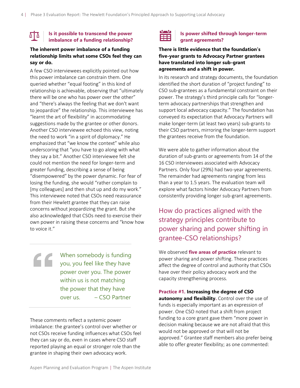#### **Is it possible to transcend the power imbalance of a funding relationship?**

#### **The inherent power imbalance of a funding relationship limits what some CSOs feel they can say or do.**

A few CSO interviewees explicitly pointed out how this power imbalance can constrain them. One queried whether "equal footing" in this kind of relationship is achievable, observing that "ultimately there will be one who has power over the other" and "there's always the feeling that we don't want to jeopardize" the relationship. This interviewee has "learnt the art of flexibility" in accommodating suggestions made by the grantee or other donors. Another CSO interviewee echoed this view, noting the need to work "in a spirit of diplomacy." He emphasized that "we know the context" while also underscoring that "you have to go along with what they say a bit." Another CSO interviewee felt she could not mention the need for longer-term and greater funding, describing a sense of being "disempowered" by the power dynamic. For fear of losing the funding, she would "rather complain to [my colleagues] and then shut up and do my work." This interviewee noted that CSOs need reassurance from their Hewlett grantee that they can raise concerns without jeopardizing the grant. But she also acknowledged that CSOs need to exercise their own power in raising these concerns and "know how to voice it."

When somebody is funding you, you feel like they have power over you. The power within us is not matching the power that they have over us. – CSO Partner

These comments reflect a systemic power imbalance: the grantee's control over whether or not CSOs receive funding influences what CSOs feel they can say or do, even in cases where CSO staff reported playing an equal or stronger role than the grantee in shaping their own advocacy work.



#### **Is power shifted through longer-term grant agreements?**

#### **There is little evidence that the foundation's five-year grants to Advocacy Partner grantees have translated into longer sub-grant agreements and a shift in power.**

In its research and strategy documents, the foundation identified the short duration of "project funding" to CSO sub-grantees as a fundamental constraint on their power. The strategy's third principle calls for "longerterm advocacy partnerships that strengthen and support local advocacy capacity." The foundation has conveyed its expectation that Advocacy Partners will make longer-term (at least two years) sub-grants to their CSO partners, mirroring the longer-term support the grantees receive from the foundation.

We were able to gather information about the duration of sub-grants or agreements from 14 of the 16 CSO interviewees associated with Advocacy Partners. Only four (29%) had two-year agreements. The remainder had agreements ranging from less than a year to 1.5 years. The evaluation team will explore what factors hinder Advocacy Partners from consistently providing longer sub-grant agreements.

# How do practices aligned with the strategy principles contribute to power sharing and power shifting in grantee-CSO relationships?

We observed **five areas of practice** relevant to power sharing and power shifting. These practices affect the degree of control and authority that CSOs have over their policy advocacy work and the capacity strengthening process.

**Practice #1. Increasing the degree of CSO autonomy and flexibility.** Control over the use of funds is especially important as an expression of power. One CSO noted that a shift from project funding to a core grant gave them "more power in decision making because we are not afraid that this would not be approved or that will not be approved." Grantee staff members also prefer being able to offer greater flexibility; as one commented: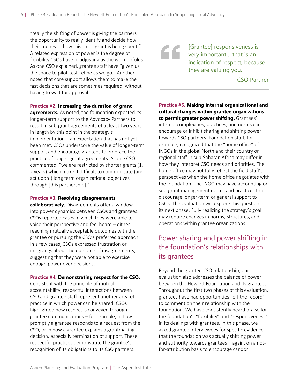"really the shifting of power is giving the partners the opportunity to really identify and decide how their money ... how this small grant is being spent." A related expression of power is the degree of flexibility CSOs have in adjusting as the work unfolds. As one CSO explained, grantee staff have "given us the space to pilot-test-refine as we go." Another noted that core support allows them to make the fast decisions that are sometimes required, without having to wait for approval.

#### **Practice #2. Increasing the duration of grant**

**agreements.** As noted, the foundation expected its longer-term support to the Advocacy Partners to result in sub-grant agreements of at least two years in length by this point in the strategy's implementation – an expectation that has not yet been met. CSOs underscore the value of longer-term support and encourage grantees to embrace the practice of longer grant agreements. As one CSO commented: "we are restricted by shorter grants (1, 2 years) which make it difficult to communicate (and act upon!) long term organizational objectives through [this partnership]."

#### **Practice #3. Resolving disagreements**

**collaboratively.** Disagreements offer a window into power dynamics between CSOs and grantees. CSOs reported cases in which they were able to voice their perspective and feel heard – either reaching mutually acceptable outcomes with the grantee or pursuing the CSO's preferred approach. In a few cases, CSOs expressed frustration or misgivings about the outcome of disagreements, suggesting that they were not able to exercise enough power over decisions.

#### **Practice #4. Demonstrating respect for the CSO.**

Consistent with the principle of mutual accountability, respectful interactions between CSO and grantee staff represent another area of practice in which power can be shared. CSOs highlighted how respect is conveyed through grantee communications – for example, in how promptly a grantee responds to a request from the CSO, or in how a grantee explains a grantmaking decision, especially termination of support. These respectful practices demonstrate the grantee's recognition of its obligations to its CSO partners.

[Grantee] responsiveness is **very important...** that is an indication of respect, because they are valuing you.

– CSO Partner

**Practice #5. Making internal organizational and cultural changes within grantee organizations to permit greater power shifting.** Grantees' internal complexities, practices, and norms can encourage or inhibit sharing and shifting power towards CSO partners. Foundation staff, for example, recognized that the "home office" of INGOs in the global North and their country or regional staff in sub-Saharan Africa may differ in how they interpret CSO needs and priorities. The home office may not fully reflect the field staff's perspectives when the home office negotiates with the foundation. The INGO may have accounting or sub-grant management norms and practices that discourage longer-term or general support to CSOs. The evaluation will explore this question in its next phase. Fully realizing the strategy's goal may require changes in norms, structures, and operations within grantee organizations.

# Power sharing and power shifting in the foundation's relationships with its grantees

Beyond the grantee-CSO relationship, our evaluation also addresses the balance of power between the Hewlett Foundation and its grantees. Throughout the first two phases of this evaluation, grantees have had opportunities "off the record" to comment on their relationship with the foundation. We have consistently heard praise for the foundation's "flexibility" and "responsiveness" in its dealings with grantees. In this phase, we asked grantee interviewees for specific evidence that the foundation was actually shifting power and authority towards grantees – again, on a notfor-attribution basis to encourage candor.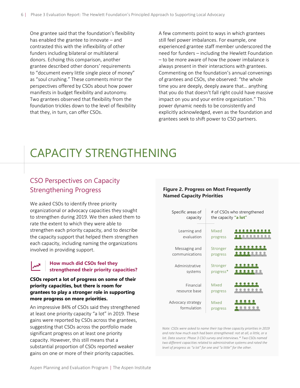One grantee said that the foundation's flexibility has enabled the grantee to innovate – and contrasted this with the inflexibility of other funders including bilateral or multilateral donors. Echoing this comparison, another grantee described other donors' requirements to "document every little single piece of money" as "soul crushing." These comments mirror the perspectives offered by CSOs about how power manifests in budget flexibility and autonomy. Two grantees observed that flexibility from the foundation trickles down to the level of flexibility that they, in turn, can offer CSOs.

A few comments point to ways in which grantees still feel power imbalances. For example, one experienced grantee staff member underscored the need for funders – including the Hewlett Foundation – to be more aware of how the power imbalance is always present in their interactions with grantees. Commenting on the foundation's annual convenings of grantees and CSOs, she observed: "the whole time you are deeply, deeply aware that… anything that you do that doesn't fall right could have massive impact on you and your entire organization." This power dynamic needs to be consistently and explicitly acknowledged, even as the foundation and grantees seek to shift power to CSO partners.

# CAPACITY STRENGTHENING

# CSO Perspectives on Capacity Strengthening Progress

We asked CSOs to identify three priority organizational or advocacy capacities they sought to strengthen during 2019. We then asked them to rate the extent to which they were able to strengthen each priority capacity, and to describe the capacity support that helped them strengthen each capacity, including naming the organizations involved in providing support.

#### **How much did CSOs feel they strengthened their priority capacities?**

**CSOs report a lot of progress on some of their priority capacities, but there is room for grantees to play a stronger role in supporting more progress on more priorities.**

An impressive 84% of CSOs said they strengthened at least one priority capacity "a lot" in 2019. These gains were reported by CSOs across the grantees, suggesting that CSOs across the portfolio made significant progress on at least one priority capacity. However, this still means that a substantial proportion of CSOs reported weaker gains on one or more of their priority capacities.

#### **Figure 2. Progress on Most Frequently Named Capacity Priorities**

| Specific areas of<br>capacity    | # of CSOs who strengthened<br>the capacity "a lot" |  |  |
|----------------------------------|----------------------------------------------------|--|--|
| Learning and<br>evaluation       | Mixed<br>progress                                  |  |  |
| Messaging and<br>communications  | Stronger<br>progress                               |  |  |
| Administrative<br>systems        | Stronger<br>progress*                              |  |  |
| Financial<br>resource base       | Mixed<br>progress                                  |  |  |
| Advocacy strategy<br>formulation | Mixed<br>progress                                  |  |  |

*Note: CSOs were asked to name their top three capacity priorities in 2019 and rate how much each had been strengthened: not at all, a little, or a lot. Data source: Phase 3 CSO survey and interviews.\* Two CSOs named two different capacities related to administrative systems and rated the level of progress as "a lot" for one and "a little" for the other.*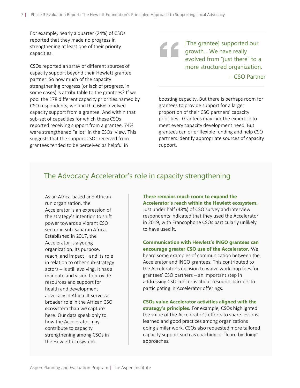For example, nearly a quarter (24%) of CSOs reported that they made no progress in strengthening at least one of their priority capacities.

CSOs reported an array of different sources of capacity support beyond their Hewlett grantee partner. So how much of the capacity strengthening progress (or lack of progress, in some cases) is attributable to the grantees? If we pool the 178 different capacity priorities named by CSO respondents, we find that 66% involved capacity support from a grantee. And within that sub-set of capacities for which these CSOs reported receiving support from a grantee, 74% were strengthened "a lot" in the CSOs' view. This suggests that the support CSOs received from grantees tended to be perceived as helpful in

[The grantee] supported our growth… We have really evolved from "just there" to a more structured organization.

– CSO Partner

boosting capacity. But there is perhaps room for grantees to provide support for a larger proportion of their CSO partners' capacity priorities. Grantees may lack the expertise to meet every capacity development need. But grantees can offer flexible funding and help CSO partners identify appropriate sources of capacity support.

## The Advocacy Accelerator's role in capacity strengthening

As an Africa-based and Africanrun organization, the Accelerator is an expression of the strategy's intention to shift power towards a vibrant CSO sector in sub-Saharan Africa. Established in 2017, the Accelerator is a young organization. Its purpose, reach, and impact – and its role in relation to other sub-strategy actors – is still evolving. It has a mandate and vision to provide resources and support for health and development advocacy in Africa. It serves a broader role in the African CSO ecosystem than we capture here. Our data speak only to how the Accelerator may contribute to capacity strengthening among CSOs in the Hewlett ecosystem.

**There remains much room to expand the Accelerator's reach within the Hewlett ecosystem.** Just under half (48%) of CSO survey and interview respondents indicated that they used the Accelerator in 2019, with Francophone CSOs particularly unlikely to have used it.

**Communication with Hewlett's INGO grantees can encourage greater CSO use of the Accelerator.** We heard some examples of communication between the Accelerator and INGO grantees. This contributed to the Accelerator's decision to waive workshop fees for grantees' CSO partners – an important step in addressing CSO concerns about resource barriers to participating in Accelerator offerings.

**CSOs value Accelerator activities aligned with the strategy's principles.** For example, CSOs highlighted the value of the Accelerator's efforts to share lessons learned and good practices among organizations doing similar work. CSOs also requested more tailored capacity support such as coaching or "learn by doing" approaches.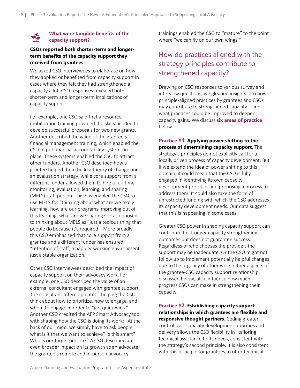#### **What were tangible benefits of the capacity support?**

#### **CSOs reported both shorter-term and longerterm benefits of the capacity support they received from grantees.**

We asked CSO interviewees to elaborate on how they applied or benefited from capacity support in cases where they felt they had strengthened a capacity a lot. CSO responses revealed both shorter-term and longer-term implications of capacity support.

For example, one CSO said that a resource mobilization training provided the skills needed to develop successful proposals for two new grants. Another described the value of the grantee's financial management training, which enabled the CSO to put financial accountability systems in place. These systems enabled the CSO to attract other funders. Another CSO described how a grantee helped them build a theory of change and an evaluation strategy, while core support from a different funder allowed them to hire a full-time monitoring, evaluation, learning, and sharing (MELS) staff person. This has enabled the CSO to use MELS for "thinking about what are we really learning, how are our programs improving out of this learning, what are we sharing?" – as opposed to thinking about MELS as "just a tedious thing that people do because it's required." More broadly, this CSO emphasized that core support from a grantee and a different funder has ensured "retention of staff, a happier working environment, just a stable organization."

Other CSO interviewees described the impact of capacity support on their advocacy work. For example, one CSO described the value of an external consultant engaged with grantee support. The consultant offered pointers, helping the CSO think about how to prioritize, how to engage, and whom to engage in order to "get quick wins." Another CSO credited the AFP Smart Advocacy tool with shaping how the CSO is doing its work: "At the back of our mind, we simply have to ask people, what is it that we want to achieve? Is this smart? Who is our target person?" A CSO described an even broader impact on its growth as an advocate: the grantee's remote and in-person advocacy

trainings enabled the CSO to "mature" to the point where "we can fly on our own wings."

# How do practices aligned with the strategy principles contribute to strengthened capacity?

Drawing on CSO responses to various survey and interview questions, we gleaned insights into how principle-aligned practices by grantees and CSOs may contribute to strengthened capacity – and what practices could be improved to deepen capacity gains. We discuss **six areas of practice** below.

# **Practice #1. Applying power shifting to the**

**process of determining capacity support.** The strategy's principles do not explicitly call for a locally driven process of capacity development. But if we extend the idea of power shifting to this domain, it could mean that the CSO is fully engaged in identifying its own capacity development priorities and proposing a process to address them. It could also take the form of unrestricted funding with which the CSO addresses its capacity development needs. Our data suggest that this is happening in some cases.

Greater CSO power in shaping capacity support can contribute to stronger capacity strengthening outcomes but does not guarantee success. Regardless of who chooses the provider, the support may be inadequate. Or the CSO might not follow up to implement potentially helpful changes due to the urgency of other work. Other aspects of the grantee-CSO capacity support relationship, discussed below, also influence how much progress CSOs can make in strengthening their capacity.

**Practice #2. Establishing capacity support relationships in which grantees are flexible and responsive thought partners.** Ceding greater control over capacity development priorities and delivery allows the CSO flexibility in "tailoring" technical assistance to its needs, consistent with the strategy's second principle. It is also consistent with this principle for grantees to offer technical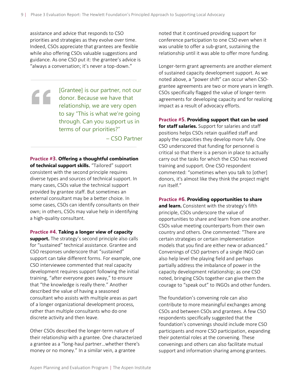assistance and advice that responds to CSO priorities and strategies as they evolve over time. Indeed, CSOs appreciate that grantees are flexible while also offering CSOs valuable suggestions and guidance. As one CSO put it: the grantee's advice is "always a conversation; it's never a top-down."

[Grantee] is our partner, not our **donor.** Because we have that relationship, we are very open to say "This is what we're going through. Can you support us in terms of our priorities?"

– CSO Partner

**Practice #3. Offering a thoughtful combination of technical support skills.** "Tailored" support consistent with the second principle requires diverse types and sources of technical support. In many cases, CSOs value the technical support provided by grantee staff. But sometimes an external consultant may be a better choice. In some cases, CSOs can identify consultants on their own; in others, CSOs may value help in identifying a high-quality consultant.

**Practice #4. Taking a longer view of capacity** 

**support.** The strategy's second principle also calls for "sustained" technical assistance. Grantee and CSO responses underscore that "sustained" support can take different forms. For example, one CSO interviewee commented that real capacity development requires support following the initial training, "after everyone goes away," to ensure that "the knowledge is really there." Another described the value of having a seasoned consultant who assists with multiple areas as part of a longer organizational development process, rather than multiple consultants who do one discrete activity and then leave.

Other CSOs described the longer-term nature of their relationship with a grantee. One characterized a grantee as a "long-haul partner…whether there's money or no money." In a similar vein, a grantee

noted that it continued providing support for conference participation to one CSO even when it was unable to offer a sub-grant, sustaining the relationship until it was able to offer more funding.

Longer-term grant agreements are another element of sustained capacity development support. As we noted above, a "power shift" can occur when CSOgrantee agreements are two or more years in length. CSOs specifically flagged the value of longer-term agreements for developing capacity and for realizing impact as a result of advocacy efforts.

**Practice #5. Providing support that can be used** 

**for staff salaries.** Support for salaries and staff positions helps CSOs retain qualified staff and apply the capacities they develop more fully. One CSO underscored that funding for personnel is critical so that there is a person in place to actually carry out the tasks for which the CSO has received training and support. One CSO respondent commented: "sometimes when you talk to [other] donors, it's almost like they think the project might run itself."

**Practice #6. Providing opportunities to share** 

**and learn.** Consistent with the strategy's fifth principle, CSOs underscore the value of opportunities to share and learn from one another. CSOs value meeting counterparts from their own country and others. One commented: "There are certain strategies or certain implementation models that you find are either new or advanced." Convenings of CSO partners of a single INGO can also help level the playing field and perhaps partially address the imbalance of power in the capacity development relationship; as one CSO noted, bringing CSOs together can give them the courage to "speak out" to INGOs and other funders.

The foundation's convening role can also contribute to more meaningful exchanges among CSOs and between CSOs and grantees. A few CSO respondents specifically suggested that the foundation's convenings should include more CSO participants and more CSO participation, expanding their potential roles at the convening. These convenings and others can also facilitate mutual support and information sharing among grantees.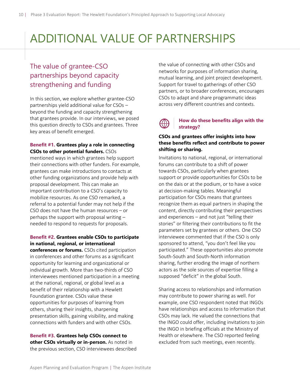# ADDITIONAL VALUE OF PARTNERSHIPS

# The value of grantee-CSO partnerships beyond capacity strengthening and funding

In this section, we explore whether grantee-CSO partnerships yield additional value for CSOs – beyond the funding and capacity strengthening that grantees provide. In our interviews, we posed this question directly to CSOs and grantees. Three key areas of benefit emerged.

#### **Benefit #1. Grantees play a role in connecting CSOs to other potential funders.** CSOs

mentioned ways in which grantees help support their connections with other funders. For example, grantees can make introductions to contacts at other funding organizations and provide help with proposal development. This can make an important contribution to a CSO's capacity to mobilize resources. As one CSO remarked, a referral to a potential funder may not help if the CSO does not have the human resources – or perhaps the support with proposal writing – needed to respond to requests for proposals.

#### **Benefit #2. Grantees enable CSOs to participate in national, regional, or international**

**conferences or forums.** CSOs cited participation in conferences and other forums as a significant opportunity for learning and organizational or individual growth. More than two-thirds of CSO interviewees mentioned participation in a meeting at the national, regional, or global level as a benefit of their relationship with a Hewlett Foundation grantee. CSOs value these opportunities for purposes of learning from others, sharing their insights, sharpening presentation skills, gaining visibility, and making connections with funders and with other CSOs.

**Benefit #3. Grantees help CSOs connect to other CSOs virtually or in-person.** As noted in the previous section, CSO interviewees described the value of connecting with other CSOs and networks for purposes of information sharing, mutual learning, and joint project development. Support for travel to gatherings of other CSO partners, or to broader conferences, encourages CSOs to adapt and share programmatic ideas across very different countries and contexts.

#### **How do these benefits align with the strategy?**

#### **CSOs and grantees offer insights into how these benefits reflect and contribute to power shifting or sharing.**

Invitations to national, regional, or international forums can contribute to a shift of power towards CSOs, particularly when grantees support or provide opportunities for CSOs to be on the dais or at the podium, or to have a voice at decision-making tables. Meaningful participation for CSOs means that grantees recognize them as equal partners in shaping the content, directly contributing their perspectives and experiences – and not just "telling their stories" or filtering their contributions to fit the parameters set by grantees or others. One CSO interviewee commented that if the CSO is only sponsored to attend, "you don't feel like you participated." These opportunities also promote South-South and South-North information sharing, further eroding the image of northern actors as the sole sources of expertise filling a supposed "deficit" in the global South.

Sharing access to relationships and information may contribute to power sharing as well. For example, one CSO respondent noted that INGOs have relationships and access to information that CSOs may lack. He valued the connections that the INGO could offer, including invitations to join the INGO in briefing officials at the Ministry of Health or elsewhere. The CSO reported feeling excluded from such meetings, even recently.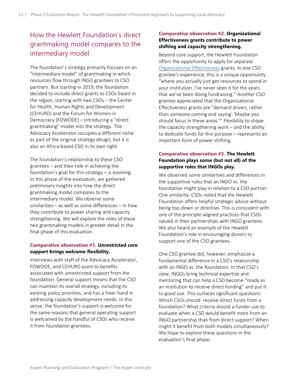# How the Hewlett Foundation's direct grantmaking model compares to the intermediary model

The foundation's strategy primarily focuses on an "intermediary model" of grantmaking in which resources flow through INGO grantees to CSO partners. But starting in 2019, the foundation decided to include direct grants to CSOs based in the region, starting with two CSOs – the Center for Health, Human Rights and Development (CEHURD) and the Forum for Women in Democracy (FOWODE) – introducing a "direct grantmaking" model into the strategy. The Advocacy Accelerator occupies a different niche as part of the original strategy design, but it is also an Africa-based CSO in its own right.

The foundation's relationship to these CSO grantees – and their role in achieving the foundation's goal for this strategy – is evolving. In this phase of the evaluation, we gathered preliminary insights into how the direct grantmaking model compares to the intermediary model. We observe some similarities – as well as some differences – in how they contribute to power sharing and capacity strengthening. We will explore the roles of these two grantmaking models in greater detail in the final phase of this evaluation.

#### **Comparative observation #1. Unrestricted core support brings welcome flexibility.**

Interviews with staff of the Advocacy Accelerator, FOWODE, and CEHURD point to benefits associated with unrestricted support from the foundation. General support means that the CSO can maintain its overall strategy, including its existing policy priorities, and has a freer hand in addressing capacity development needs. In this sense, the foundation's support is welcome for the same reasons that general operating support is welcomed by the handful of CSOs who receive it from foundation grantees.

#### **Comparative observation #2. Organizational Effectiveness grants contribute to power shifting and capacity strengthening.**

Beyond core support, the Hewlett Foundation offers the opportunity to apply for separate [Organizational Effectiveness](https://hewlett.org/strategy/organizational-effectiveness/) grants. In one CSO grantee's experience, this is a unique opportunity "where you actually just get resources to spend in your institution. I've never seen it for the years that we've been doing fundraising." Another CSO grantee appreciated that the Organizational Effectiveness grants are "demand driven, rather than someone coming and saying: 'Maybe you should focus in these areas.'" Flexibility to shape the capacity strengthening work – and the ability to dedicate funds for this purpose – represents an important form of power shifting.

#### **Comparative observation #3. The Hewlett Foundation plays some (but not all) of the supportive roles that INGOs play.**

We observed some similarities and differences in the supportive roles that an INGO vs. the foundation might play in relation to a CSO partner. One similarity: CSOs noted that the Hewlett Foundation offers helpful strategic advice without being top-down or directive. This is consistent with one of the principle-aligned practices that CSOs valued in their partnerships with INGO grantees. We also heard an example of the Hewlett Foundation's role in encouraging donors to support one of the CSO grantees.

One CSO grantee did, however, emphasize a fundamental difference in a CSO's relationship with an INGO vs. the foundation. In that CSO's view, INGOs bring technical expertise and mentoring that can help a CSO become "ready as an institution to receive direct funding" and put it to good use. This surfaces significant questions: Which CSOs should receive direct funds from a foundation? What criteria should a funder use to evaluate when a CSO would benefit more from an INGO partnership than from direct support? When might it benefit from both models simultaneously? We hope to explore these questions in the evaluation's final phase.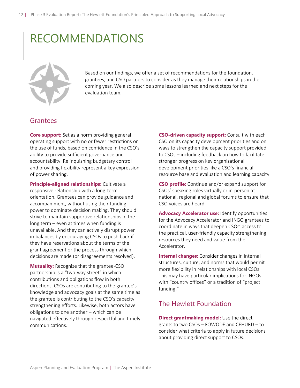# RECOMMENDATIONS



Based on our findings, we offer a set of recommendations for the foundation, grantees, and CSO partners to consider as they manage their relationships in the coming year. We also describe some lessons learned and next steps for the evaluation team.

### Grantees

**Core support:** Set as a norm providing general operating support with no or fewer restrictions on the use of funds, based on confidence in the CSO's ability to provide sufficient governance and accountability. Relinquishing budgetary control and providing flexibility represent a key expression of power sharing.

**Principle-aligned relationships:** Cultivate a responsive relationship with a long-term orientation. Grantees can provide guidance and accompaniment, without using their funding power to dominate decision making. They should strive to maintain supportive relationships in the long term – even at times when funding is unavailable. And they can actively disrupt power imbalances by encouraging CSOs to push back if they have reservations about the terms of the grant agreement or the process through which decisions are made (or disagreements resolved).

**Mutuality:** Recognize that the grantee-CSO partnership is a "two-way street" in which contributions and obligations flow in both directions. CSOs are contributing to the grantee's knowledge and advocacy goals at the same time as the grantee is contributing to the CSO's capacity strengthening efforts. Likewise, both actors have obligations to one another – which can be navigated effectively through respectful and timely communications.

**CSO-driven capacity support:** Consult with each CSO on its capacity development priorities and on ways to strengthen the capacity support provided to CSOs – including feedback on how to facilitate stronger progress on key organizational development priorities like a CSO's financial resource base and evaluation and learning capacity.

**CSO profile:** Continue and/or expand support for CSOs' speaking roles virtually or in-person at national, regional and global forums to ensure that CSO voices are heard.

**Advocacy Accelerator use:** Identify opportunities for the Advocacy Accelerator and INGO grantees to coordinate in ways that deepen CSOs' access to the practical, user-friendly capacity strengthening resources they need and value from the Accelerator.

**Internal changes:** Consider changes in internal structures, culture, and norms that would permit more flexibility in relationships with local CSOs. This may have particular implications for INGOs with "country offices" or a tradition of "project funding."

### The Hewlett Foundation

**Direct grantmaking model:** Use the direct grants to two CSOs – FOWODE and CEHURD – to consider what criteria to apply in future decisions about providing direct support to CSOs.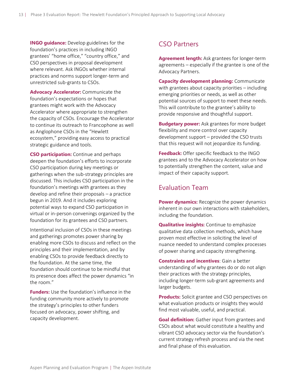**INGO guidance:** Develop guidelines for the foundation's practices in including INGO grantees' "home office," "country office," and CSO perspectives in proposal development where relevant. Ask INGOs whether internal practices and norms support longer-term and unrestricted sub-grants to CSOs.

**Advocacy Accelerator:** Communicate the foundation's expectations or hopes that grantees might work with the Advocacy Accelerator where appropriate to strengthen the capacity of CSOs. Encourage the Accelerator to continue its outreach to Francophone as well as Anglophone CSOs in the "Hewlett ecosystem," providing easy access to practical strategic guidance and tools.

**CSO participation:** Continue and perhaps deepen the foundation's efforts to incorporate CSO participation during key meetings or gatherings when the sub-strategy principles are discussed. This includes CSO participation in the foundation's meetings with grantees as they develop and refine their proposals – a practice begun in 2019. And it includes exploring potential ways to expand CSO participation in virtual or in-person convenings organized by the foundation for its grantees and CSO partners.

Intentional inclusion of CSOs in these meetings and gatherings promotes power sharing by enabling more CSOs to discuss and reflect on the principles and their implementation, and by enabling CSOs to provide feedback directly to the foundation. At the same time, the foundation should continue to be mindful that its presence does affect the power dynamics "in the room."

**Funders:** Use the foundation's influence in the funding community more actively to promote the strategy's principles to other funders focused on advocacy, power shifting, and capacity development.

### CSO Partners

**Agreement length:** Ask grantees for longer-term agreements – especially if the grantee is one of the Advocacy Partners.

**Capacity development planning:** Communicate with grantees about capacity priorities – including emerging priorities or needs, as well as other potential sources of support to meet these needs. This will contribute to the grantee's ability to provide responsive and thoughtful support.

**Budgetary power:** Ask grantees for more budget flexibility and more control over capacity development support – provided the CSO trusts that this request will not jeopardize its funding.

**Feedback:** Offer specific feedback to the INGO grantees and to the Advocacy Accelerator on how to potentially strengthen the content, value and impact of their capacity support.

### Evaluation Team

**Power dynamics:** Recognize the power dynamics inherent in our own interactions with stakeholders, including the foundation.

**Qualitative insights:** Continue to emphasize qualitative data collection methods, which have proven most effective in soliciting the level of nuance needed to understand complex processes of power sharing and capacity strengthening.

**Constraints and incentives**: Gain a better understanding of why grantees do or do not align their practices with the strategy principles, including longer-term sub-grant agreements and larger budgets.

**Products:** Solicit grantee and CSO perspectives on what evaluation products or insights they would find most valuable, useful, and practical.

**Goal definition:** Gather input from grantees and CSOs about what would constitute a healthy and vibrant CSO advocacy sector via the foundation's current strategy refresh process and via the next and final phase of this evaluation.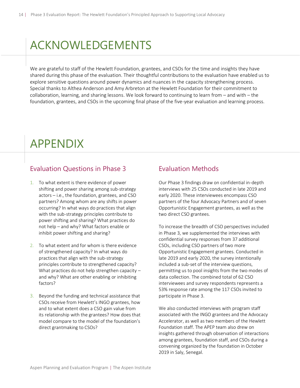# ACKNOWLEDGEMENTS

We are grateful to staff of the Hewlett Foundation, grantees, and CSOs for the time and insights they have shared during this phase of the evaluation. Their thoughtful contributions to the evaluation have enabled us to explore sensitive questions around power dynamics and nuances in the capacity strengthening process. Special thanks to Althea Anderson and Amy Arbreton at the Hewlett Foundation for their commitment to collaboration, learning, and sharing lessons. We look forward to continuing to learn from – and with – the foundation, grantees, and CSOs in the upcoming final phase of the five-year evaluation and learning process.

# APPENDIX

I

## Evaluation Questions in Phase 3

- 1. To what extent is there evidence of power shifting and power sharing among sub-strategy actors – i.e., the foundation, grantees, and CSO partners? Among whom are any shifts in power occurring? In what ways do practices that align with the sub-strategy principles contribute to power shifting and sharing? What practices do not help – and why? What factors enable or inhibit power shifting and sharing?
- 2. To what extent and for whom is there evidence of strengthened capacity? In what ways do practices that align with the sub-strategy principles contribute to strengthened capacity? What practices do not help strengthen capacity – and why? What are other enabling or inhibiting factors?
- 3. Beyond the funding and technical assistance that CSOs receive from Hewlett's INGO grantees, how and to what extent does a CSO gain value from its relationship with the grantees? How does that model compare to the model of the foundation's direct grantmaking to CSOs?

### Evaluation Methods

Our Phase 3 findings draw on confidential in-depth interviews with 25 CSOs conducted in late 2019 and early 2020. These interviewees encompass CSO partners of the four Advocacy Partners and of seven Opportunistic Engagement grantees, as well as the two direct CSO grantees.

To increase the breadth of CSO perspectives included in Phase 3, we supplemented the interviews with confidential survey responses from 37 additional CSOs, including CSO partners of two more Opportunistic Engagement grantees. Conducted in late 2019 and early 2020, the survey intentionally included a sub-set of the interview questions, permitting us to pool insights from the two modes of data collection. The combined total of 62 CSO interviewees and survey respondents represents a 53% response rate among the 117 CSOs invited to participate in Phase 3.

We also conducted interviews with program staff associated with the INGO grantees and the Advocacy Accelerator, as well as two members of the Hewlett Foundation staff. The APEP team also drew on insights gathered through observation of interactions among grantees, foundation staff, and CSOs during a convening organized by the foundation in October 2019 in Saly, Senegal.